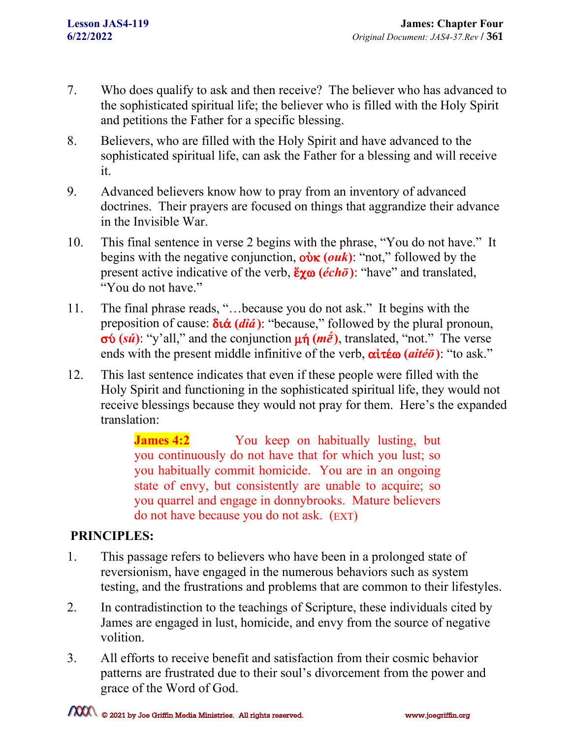- 7. Who does qualify to ask and then receive? The believer who has advanced to the sophisticated spiritual life; the believer who is filled with the Holy Spirit and petitions the Father for a specific blessing.
- 8. Believers, who are filled with the Holy Spirit and have advanced to the sophisticated spiritual life, can ask the Father for a blessing and will receive it.
- 9. Advanced believers know how to pray from an inventory of advanced doctrines. Their prayers are focused on things that aggrandize their advance in the Invisible War.
- 10. This final sentence in verse 2 begins with the phrase, "You do not have." It begins with the negative conjunction,  $\vec{v}$  (*ouk*): "not," followed by the present active indicative of the verb,  $\frac{\xi \gamma \omega}{\epsilon h \bar{\sigma}}$ : "have" and translated, "You do not have."
- 11. The final phrase reads, "…because you do not ask." It begins with the preposition of cause:  $\delta \alpha$  (*diá*): "because," followed by the plural pronoun,  $\sigma\phi$  (*sú*): "y'all," and the conjunction  $\mu\dot{\eta}$  (*m* $\dot{\bar{e}}$ ), translated, "not." The verse ends with the present middle infinitive of the verb,  $\alpha \text{ i } \tau \text{ é } \omega$  ( $\alpha \text{ i } \tau \text{ é } \bar{\sigma}$ ): "to ask."
- 12. This last sentence indicates that even if these people were filled with the Holy Spirit and functioning in the sophisticated spiritual life, they would not receive blessings because they would not pray for them. Here's the expanded translation:

**James 4:2** You keep on habitually lusting, but you continuously do not have that for which you lust; so you habitually commit homicide. You are in an ongoing state of envy, but consistently are unable to acquire; so you quarrel and engage in donnybrooks. Mature believers do not have because you do not ask. (EXT)

## **PRINCIPLES:**

- 1. This passage refers to believers who have been in a prolonged state of reversionism, have engaged in the numerous behaviors such as system testing, and the frustrations and problems that are common to their lifestyles.
- 2. In contradistinction to the teachings of Scripture, these individuals cited by James are engaged in lust, homicide, and envy from the source of negative volition.
- 3. All efforts to receive benefit and satisfaction from their cosmic behavior patterns are frustrated due to their soul's divorcement from the power and grace of the Word of God.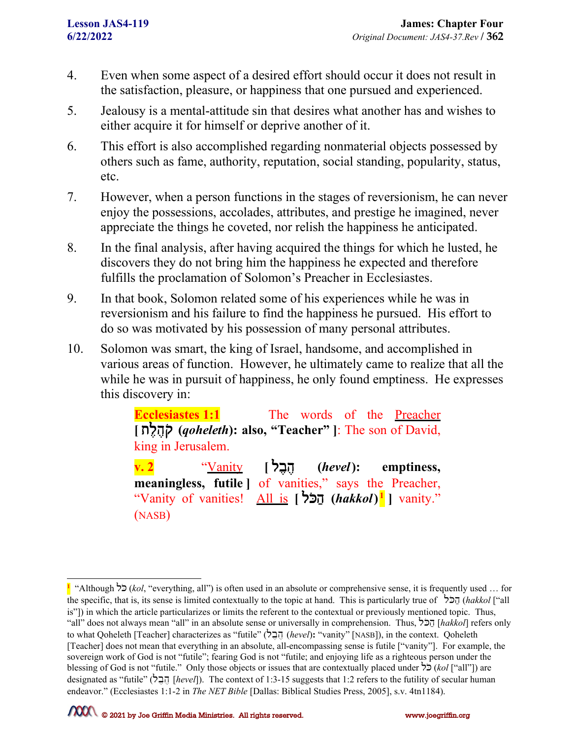- 4. Even when some aspect of a desired effort should occur it does not result in the satisfaction, pleasure, or happiness that one pursued and experienced.
- 5. Jealousy is a mental-attitude sin that desires what another has and wishes to either acquire it for himself or deprive another of it.
- 6. This effort is also accomplished regarding nonmaterial objects possessed by others such as fame, authority, reputation, social standing, popularity, status, etc.
- 7. However, when a person functions in the stages of reversionism, he can never enjoy the possessions, accolades, attributes, and prestige he imagined, never appreciate the things he coveted, nor relish the happiness he anticipated.
- 8. In the final analysis, after having acquired the things for which he lusted, he discovers they do not bring him the happiness he expected and therefore fulfills the proclamation of Solomon's Preacher in Ecclesiastes.
- 9. In that book, Solomon related some of his experiences while he was in reversionism and his failure to find the happiness he pursued. His effort to do so was motivated by his possession of many personal attributes.
- 10. Solomon was smart, the king of Israel, handsome, and accomplished in various areas of function. However, he ultimately came to realize that all the while he was in pursuit of happiness, he only found emptiness. He expresses this discovery in:

**Ecclesiastes 1:1** The words of the **Preacher [** tl#h #q ) **(***qoheleth***): also, "Teacher" ]**: The son of David, king in Jerusalem.

**v. 2** "Vanity **[** lb #h# **(***hevel***): emptiness, meaningless, futile ]** of vanities," says the Preacher, "Vanity of vanities! All is [ **b [** *hakkol* )<sup>[1](#page-1-0)</sup> | vanity." (NASB)

<span id="page-1-0"></span>**<sup>1</sup>** "Although lK) (*kol*, "everything, all") is often used in an absolute or comprehensive sense, it is frequently used … for the specific, that is, its sense is limited contextually to the topic at hand. This is particularly true of  $\dot{\ }$ הבל (*hakkol* ["all is"]) in which the article particularizes or limits the referent to the contextual or previously mentioned topic. Thus, "all" does not always mean "all" in an absolute sense or universally in comprehension. Thus, הכל [*hakkol*] refers only to what Qoheleth [Teacher] characterizes as "futile" (*hevel*): "vanity" [NASB]), in the context. Qoheleth [Teacher] does not mean that everything in an absolute, all-encompassing sense is futile ["vanity"]. For example, the sovereign work of God is not "futile"; fearing God is not "futile; and enjoying life as a righteous person under the blessing of God is not "futile." Only those objects or issues that are contextually placed under  $\frac{1}{2}$ ) (*kol* ["all"]) are designated as "futile" (lb #h # [*hevel*]). The context of 1:3-15 suggests that 1:2 refers to the futility of secular human endeavor." (Ecclesiastes 1:1-2 in *The NET Bible* [Dallas: Biblical Studies Press, 2005], s.v. 4tn1184).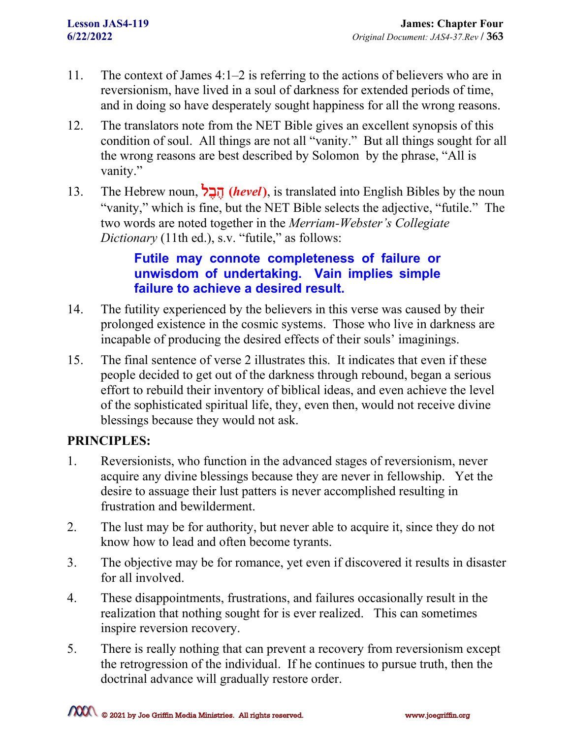- 11. The context of James 4:1–2 is referring to the actions of believers who are in reversionism, have lived in a soul of darkness for extended periods of time, and in doing so have desperately sought happiness for all the wrong reasons.
- 12. The translators note from the NET Bible gives an excellent synopsis of this condition of soul. All things are not all "vanity." But all things sought for all the wrong reasons are best described by Solomon by the phrase, "All is vanity."
- 13. The Hebrew noun, הָבֶל (*hevel*), is translated into English Bibles by the noun "vanity," which is fine, but the NET Bible selects the adjective, "futile." The two words are noted together in the *Merriam-Webster's Collegiate Dictionary* (11th ed.), s.v. "futile," as follows:

## **Futile may connote completeness of failure or unwisdom of undertaking. Vain implies simple failure to achieve a desired result.**

- 14. The futility experienced by the believers in this verse was caused by their prolonged existence in the cosmic systems. Those who live in darkness are incapable of producing the desired effects of their souls' imaginings.
- 15. The final sentence of verse 2 illustrates this. It indicates that even if these people decided to get out of the darkness through rebound, began a serious effort to rebuild their inventory of biblical ideas, and even achieve the level of the sophisticated spiritual life, they, even then, would not receive divine blessings because they would not ask.

## **PRINCIPLES:**

- 1. Reversionists, who function in the advanced stages of reversionism, never acquire any divine blessings because they are never in fellowship. Yet the desire to assuage their lust patters is never accomplished resulting in frustration and bewilderment.
- 2. The lust may be for authority, but never able to acquire it, since they do not know how to lead and often become tyrants.
- 3. The objective may be for romance, yet even if discovered it results in disaster for all involved.
- 4. These disappointments, frustrations, and failures occasionally result in the realization that nothing sought for is ever realized. This can sometimes inspire reversion recovery.
- 5. There is really nothing that can prevent a recovery from reversionism except the retrogression of the individual. If he continues to pursue truth, then the doctrinal advance will gradually restore order.